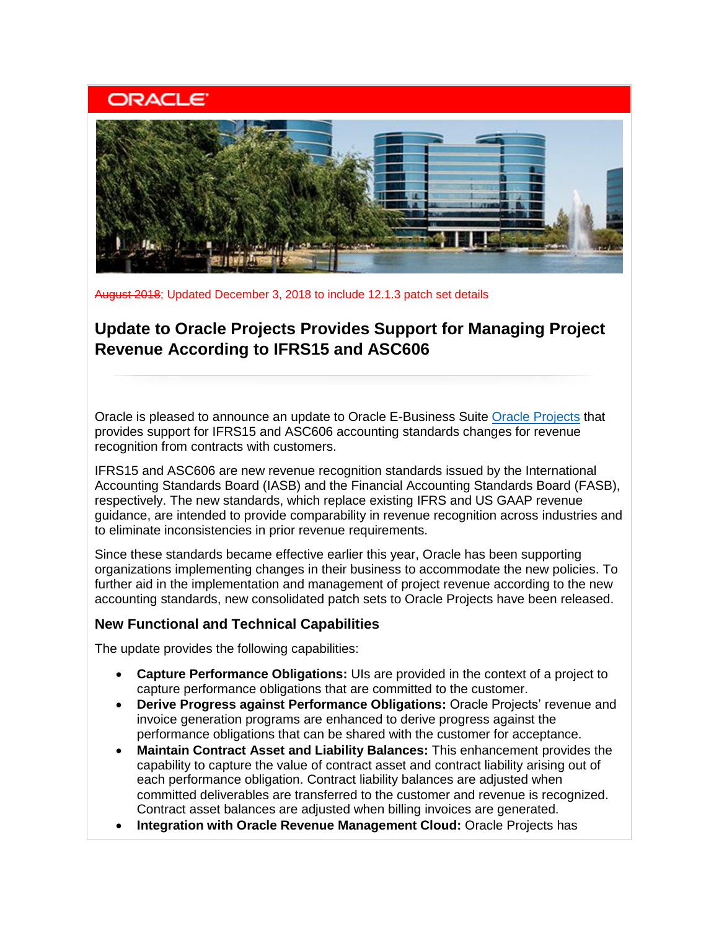# **ORACLE**



August 2018; Updated December 3, 2018 to include 12.1.3 patch set details

## **Update to Oracle Projects Provides Support for Managing Project Revenue According to IFRS15 and ASC606**

Oracle is pleased to announce an update to Oracle E-Business Suite [Oracle Projects](http://www.oracle.com/us/products/applications/ebusiness/projects/index.html) that provides support for IFRS15 and ASC606 accounting standards changes for revenue recognition from contracts with customers.

IFRS15 and ASC606 are new revenue recognition standards issued by the International Accounting Standards Board (IASB) and the Financial Accounting Standards Board (FASB), respectively. The new standards, which replace existing IFRS and US GAAP revenue guidance, are intended to provide comparability in revenue recognition across industries and to eliminate inconsistencies in prior revenue requirements.

Since these standards became effective earlier this year, Oracle has been supporting organizations implementing changes in their business to accommodate the new policies. To further aid in the implementation and management of project revenue according to the new accounting standards, new consolidated patch sets to Oracle Projects have been released.

### **New Functional and Technical Capabilities**

The update provides the following capabilities:

- **Capture Performance Obligations:** UIs are provided in the context of a project to capture performance obligations that are committed to the customer.
- **Derive Progress against Performance Obligations:** Oracle Projects' revenue and invoice generation programs are enhanced to derive progress against the performance obligations that can be shared with the customer for acceptance.
- **Maintain Contract Asset and Liability Balances:** This enhancement provides the capability to capture the value of contract asset and contract liability arising out of each performance obligation. Contract liability balances are adjusted when committed deliverables are transferred to the customer and revenue is recognized. Contract asset balances are adjusted when billing invoices are generated.
- **Integration with Oracle Revenue Management Cloud:** Oracle Projects has